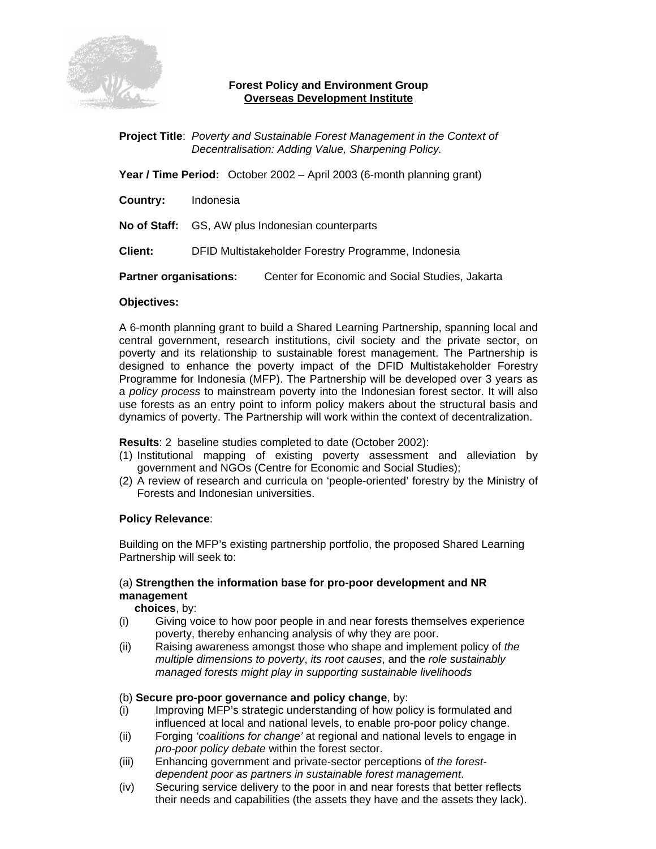

## **Forest Policy and Environment Group Overseas Development Institute**

**Project Title**: *Poverty and Sustainable Forest Management in the Context of Decentralisation: Adding Value, Sharpening Policy.*

**Year / Time Period:** October 2002 – April 2003 (6-month planning grant)

**Country:** Indonesia

**No of Staff:** GS, AW plus Indonesian counterparts

**Client:** DFID Multistakeholder Forestry Programme, Indonesia

**Partner organisations:** Center for Economic and Social Studies, Jakarta

#### **Objectives:**

A 6-month planning grant to build a Shared Learning Partnership, spanning local and central government, research institutions, civil society and the private sector, on poverty and its relationship to sustainable forest management. The Partnership is designed to enhance the poverty impact of the DFID Multistakeholder Forestry Programme for Indonesia (MFP). The Partnership will be developed over 3 years as a *policy process* to mainstream poverty into the Indonesian forest sector. It will also use forests as an entry point to inform policy makers about the structural basis and dynamics of poverty. The Partnership will work within the context of decentralization.

**Results**: 2 baseline studies completed to date (October 2002):

- (1) Institutional mapping of existing poverty assessment and alleviation by government and NGOs (Centre for Economic and Social Studies);
- (2) A review of research and curricula on 'people-oriented' forestry by the Ministry of Forests and Indonesian universities.

### **Policy Relevance**:

Building on the MFP's existing partnership portfolio, the proposed Shared Learning Partnership will seek to:

# (a) **Strengthen the information base for pro-poor development and NR management**

 **choices**, by:

- (i) Giving voice to how poor people in and near forests themselves experience poverty, thereby enhancing analysis of why they are poor.
- (ii) Raising awareness amongst those who shape and implement policy of *the multiple dimensions to poverty*, *its root causes*, and the *role sustainably managed forests might play in supporting sustainable livelihoods*

### (b) **Secure pro-poor governance and policy change**, by:

- (i) Improving MFP's strategic understanding of how policy is formulated and influenced at local and national levels, to enable pro-poor policy change.
- (ii) Forging *'coalitions for change'* at regional and national levels to engage in *pro-poor policy debate* within the forest sector.
- (iii) Enhancing government and private-sector perceptions of *the forestdependent poor as partners in sustainable forest management*.
- (iv) Securing service delivery to the poor in and near forests that better reflects their needs and capabilities (the assets they have and the assets they lack).